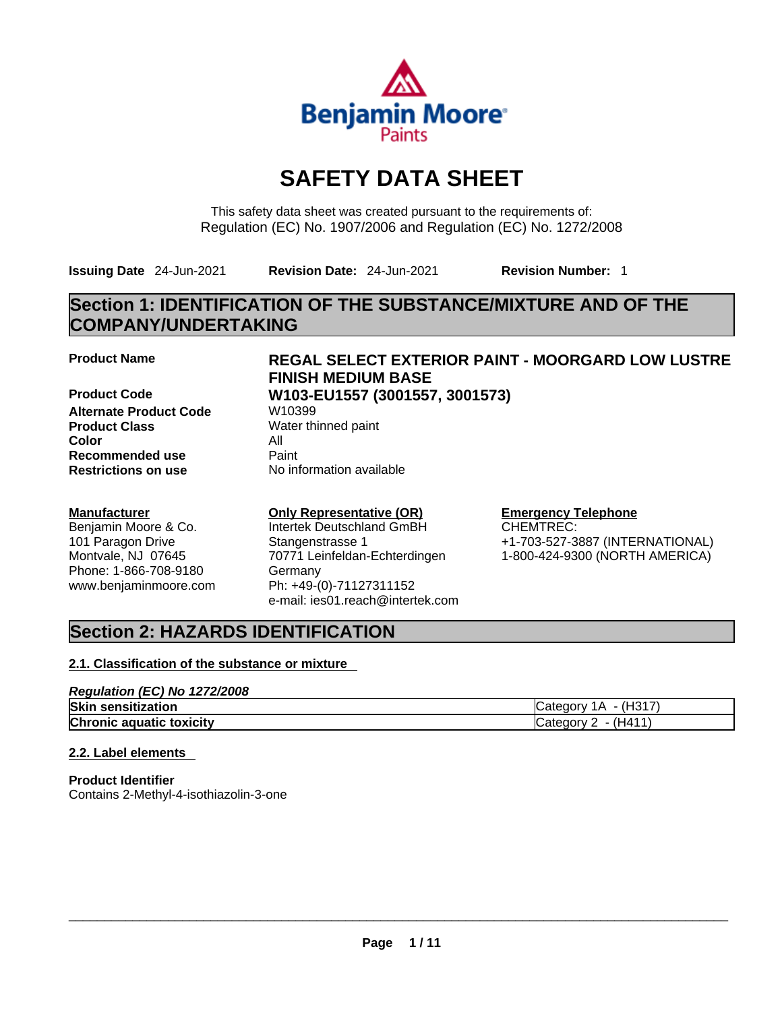

# **SAFETY DATA SHEET**

This safety data sheet was created pursuant to the requirements of: Regulation (EC) No. 1907/2006 and Regulation (EC) No. 1272/2008

**Issuing Date** 24-Jun-2021 **Revision Date:** 24-Jun-2021 **Revision Number:** 1

## **Section 1: IDENTIFICATION OF THE SUBSTANCE/MIXTURE AND OF THE COMPANY/UNDERTAKING**

**Product Code W103-EU1557 (3001557, 3001573) Alternate Product Code W10399 Product Class** Water thinned paint **Color** All **Recommended use** Paint<br> **Restrictions on use** Mo information available **Restrictions** on use

### **Manufacturer**

Benjamin Moore & Co. 101 Paragon Drive Montvale, NJ 07645 Phone: 1-866-708-9180 www.benjaminmoore.com

## **Product Name REGAL SELECT EXTERIOR PAINT - MOORGARD LOW LUSTRE FINISH MEDIUM BASE**

## **Only Representative (OR)**

Intertek Deutschland GmBH Stangenstrasse 1 70771 Leinfeldan-Echterdingen Germany Ph: +49-(0)-71127311152 e-mail: ies01.reach@intertek.com

## **Emergency Telephone**

CHEMTREC: +1-703-527-3887 (INTERNATIONAL) 1-800-424-9300 (NORTH AMERICA)

## **Section 2: HAZARDS IDENTIFICATION**

### **2.1. Classification of the substance or mixture**

| Regulation (EC) No 1272/2008    |                                 |
|---------------------------------|---------------------------------|
| <b>Skin sensitization</b>       | Category $1A - (H317)$          |
| <b>Chronic aquatic toxicity</b> | $\textsf{C}$ ategory 2 - (H411) |

### **2.2. Label elements**

**Product Identifier** Contains 2-Methyl-4-isothiazolin-3-one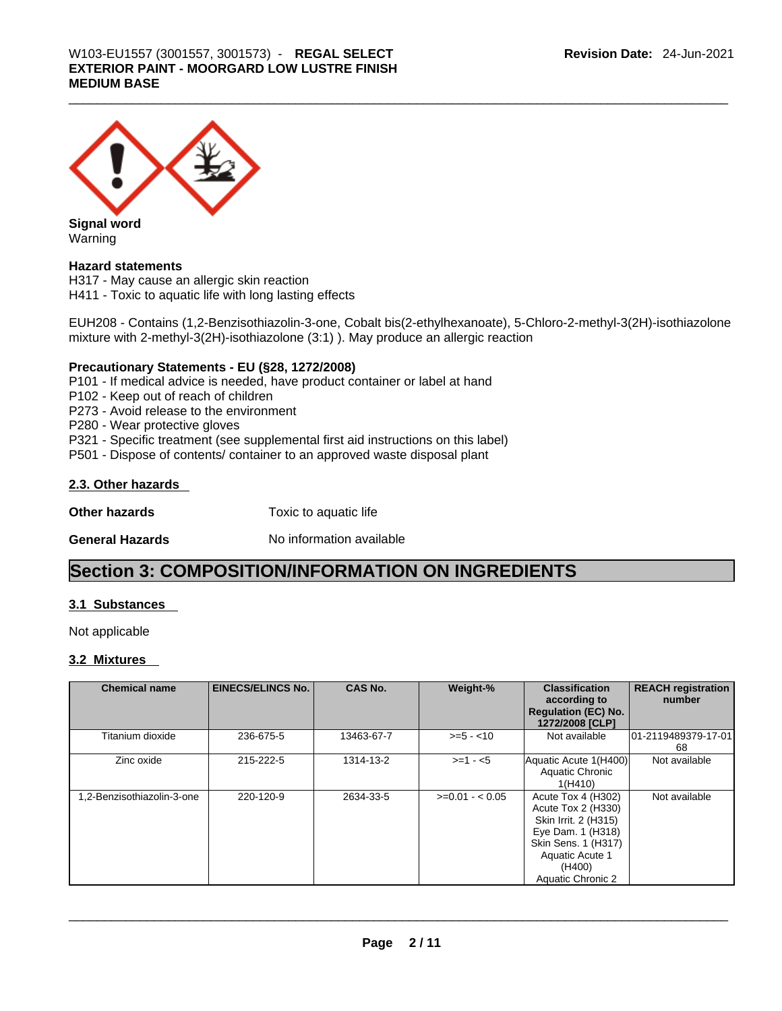

**Signal word** Warning

### **Hazard statements**

H317 - May cause an allergic skin reaction H411 - Toxic to aquatic life with long lasting effects

EUH208 - Contains (1,2-Benzisothiazolin-3-one, Cobalt bis(2-ethylhexanoate), 5-Chloro-2-methyl-3(2H)-isothiazolone mixture with 2-methyl-3(2H)-isothiazolone (3:1) ). May produce an allergic reaction

### **Precautionary Statements - EU (§28, 1272/2008)**

P101 - If medical advice is needed, have product container or label at hand

P102 - Keep out of reach of children

P273 - Avoid release to the environment

P280 - Wear protective gloves

P321 - Specific treatment (see supplemental first aid instructions on this label)

P501 - Dispose of contents/ container to an approved waste disposal plant

### **2.3. Other hazards**

**Other hazards Toxic to aquatic life** 

**General Hazards No information available** 

## **Section 3: COMPOSITION/INFORMATION ON INGREDIENTS**

### **3.1 Substances**

Not applicable

### **3.2 Mixtures**

| <b>Chemical name</b>       | <b>EINECS/ELINCS No.</b> | <b>CAS No.</b> | Weight-%        | <b>Classification</b><br>according to<br><b>Regulation (EC) No.</b><br>1272/2008 [CLP]                                                                         | <b>REACH registration</b><br>number |
|----------------------------|--------------------------|----------------|-----------------|----------------------------------------------------------------------------------------------------------------------------------------------------------------|-------------------------------------|
| Titanium dioxide           | 236-675-5                | 13463-67-7     | $>= 5 - 10$     | Not available                                                                                                                                                  | 01-2119489379-17-01<br>68           |
| Zinc oxide                 | 215-222-5                | 1314-13-2      | $>=1 - 5$       | Aquatic Acute 1(H400)<br>Aquatic Chronic<br>1(H410)                                                                                                            | Not available                       |
| 1,2-Benzisothiazolin-3-one | 220-120-9                | 2634-33-5      | $>=0.01 - 0.05$ | Acute Tox 4 (H302)<br>Acute Tox 2 (H330)<br>Skin Irrit. 2 (H315)<br>Eye Dam. 1 (H318)<br>Skin Sens. 1 (H317)<br>Aquatic Acute 1<br>(H400)<br>Aquatic Chronic 2 | Not available                       |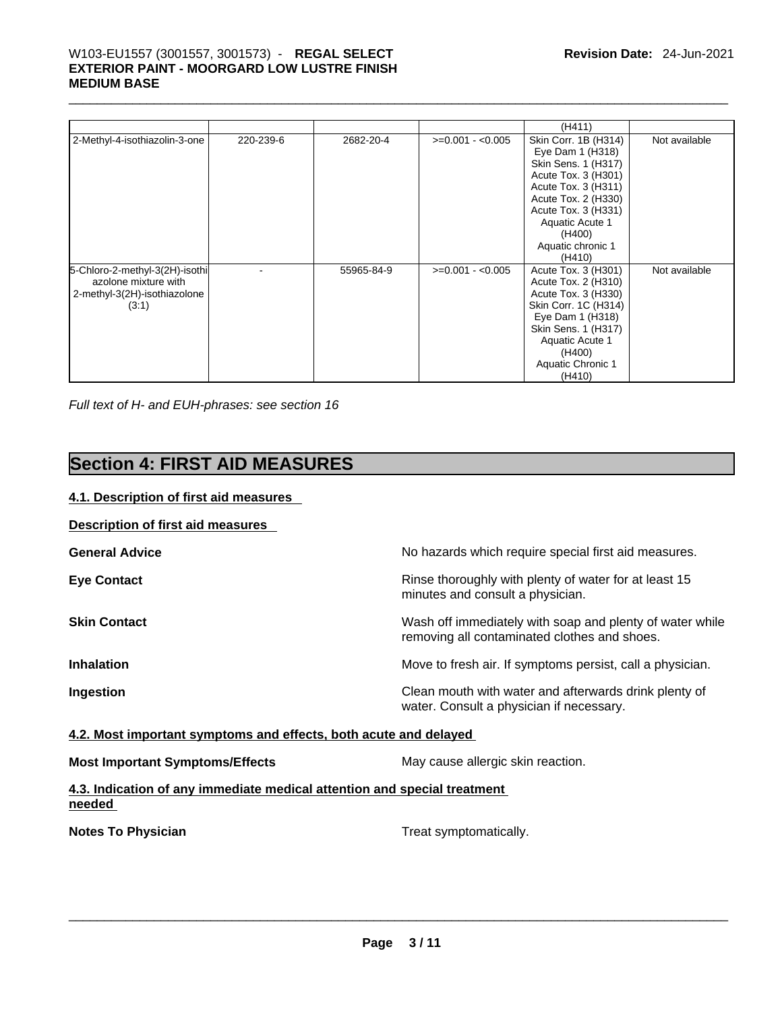## \_\_\_\_\_\_\_\_\_\_\_\_\_\_\_\_\_\_\_\_\_\_\_\_\_\_\_\_\_\_\_\_\_\_\_\_\_\_\_\_\_\_\_\_\_\_\_\_\_\_\_\_\_\_\_\_\_\_\_\_\_\_\_\_\_\_\_\_\_\_\_\_\_\_\_\_\_\_\_\_\_\_\_\_\_\_\_\_\_\_\_\_\_ W103-EU1557 (3001557, 3001573) - **REGAL SELECT EXTERIOR PAINT - MOORGARD LOW LUSTRE FINISH MEDIUM BASE**

|                                                                                                 |           |            |                   | (H411)                                                                                                                                                                                                                  |               |
|-------------------------------------------------------------------------------------------------|-----------|------------|-------------------|-------------------------------------------------------------------------------------------------------------------------------------------------------------------------------------------------------------------------|---------------|
| 2-Methyl-4-isothiazolin-3-one                                                                   | 220-239-6 | 2682-20-4  | $>=0.001 - 0.005$ | Skin Corr. 1B (H314)<br>Eye Dam 1 (H318)<br>Skin Sens. 1 (H317)<br>Acute Tox. 3 (H301)<br>Acute Tox. 3 (H311)<br>Acute Tox. 2 (H330)<br>Acute Tox. 3 (H331)<br>Aquatic Acute 1<br>(H400)<br>Aquatic chronic 1<br>(H410) | Not available |
| 5-Chloro-2-methyl-3(2H)-isothi<br>azolone mixture with<br>2-methyl-3(2H)-isothiazolone<br>(3:1) |           | 55965-84-9 | $>=0.001 - 0.005$ | Acute Tox. 3 (H301)<br>Acute Tox. 2 (H310)<br>Acute Tox. 3 (H330)<br>Skin Corr. 1C (H314)<br>Eye Dam 1 (H318)<br>Skin Sens. 1 (H317)<br>Aquatic Acute 1<br>(H400)<br>Aquatic Chronic 1<br>(H410)                        | Not available |

*Full text of H- and EUH-phrases: see section 16* 

## **Section 4: FIRST AID MEASURES**

### **4.1. Description of first aid measures**

| <b>Description of first aid measures</b>                                           |                                                                                                          |
|------------------------------------------------------------------------------------|----------------------------------------------------------------------------------------------------------|
| <b>General Advice</b>                                                              | No hazards which require special first aid measures.                                                     |
| <b>Eye Contact</b>                                                                 | Rinse thoroughly with plenty of water for at least 15<br>minutes and consult a physician.                |
| <b>Skin Contact</b>                                                                | Wash off immediately with soap and plenty of water while<br>removing all contaminated clothes and shoes. |
| <b>Inhalation</b>                                                                  | Move to fresh air. If symptoms persist, call a physician.                                                |
| Ingestion                                                                          | Clean mouth with water and afterwards drink plenty of<br>water. Consult a physician if necessary.        |
| 4.2. Most important symptoms and effects, both acute and delayed                   |                                                                                                          |
| <b>Most Important Symptoms/Effects</b>                                             | May cause allergic skin reaction.                                                                        |
| 4.3. Indication of any immediate medical attention and special treatment<br>needed |                                                                                                          |
| <b>Notes To Physician</b>                                                          | Treat symptomatically.                                                                                   |
|                                                                                    |                                                                                                          |
|                                                                                    |                                                                                                          |
|                                                                                    |                                                                                                          |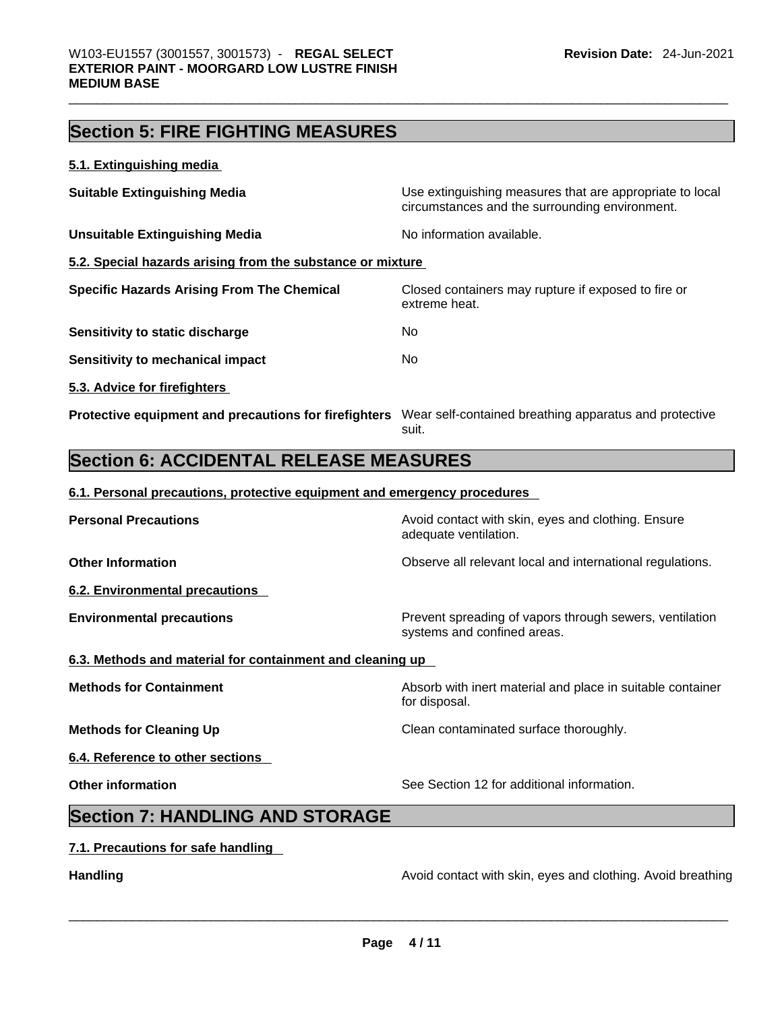## **Section 5: FIRE FIGHTING MEASURES**

### **5.1. Extinguishing media**

| <b>Suitable Extinguishing Media</b>                        | Use extinguishing measures that are appropriate to local<br>circumstances and the surrounding environment. |
|------------------------------------------------------------|------------------------------------------------------------------------------------------------------------|
| Unsuitable Extinguishing Media                             | No information available.                                                                                  |
| 5.2. Special hazards arising from the substance or mixture |                                                                                                            |
| <b>Specific Hazards Arising From The Chemical</b>          | Closed containers may rupture if exposed to fire or<br>extreme heat.                                       |
| Sensitivity to static discharge                            | No.                                                                                                        |
| Sensitivity to mechanical impact                           | No.                                                                                                        |
| 5.3. Advice for firefighters                               |                                                                                                            |
| Protective equipment and precautions for firefighters      | Wear self-contained breathing apparatus and protective<br>suit.                                            |

## **Section 6: ACCIDENTAL RELEASE MEASURES**

### **6.1. Personal precautions, protective equipment and emergency procedures**

| <b>Personal Precautions</b>                               | Avoid contact with skin, eyes and clothing. Ensure<br>adequate ventilation.            |
|-----------------------------------------------------------|----------------------------------------------------------------------------------------|
| <b>Other Information</b>                                  | Observe all relevant local and international regulations.                              |
| 6.2. Environmental precautions                            |                                                                                        |
| <b>Environmental precautions</b>                          | Prevent spreading of vapors through sewers, ventilation<br>systems and confined areas. |
| 6.3. Methods and material for containment and cleaning up |                                                                                        |
| <b>Methods for Containment</b>                            | Absorb with inert material and place in suitable container<br>for disposal.            |
| <b>Methods for Cleaning Up</b>                            | Clean contaminated surface thoroughly.                                                 |
| 6.4. Reference to other sections                          |                                                                                        |
| <b>Other information</b>                                  | See Section 12 for additional information.                                             |
| <b>Section 7: HANDLING AND STORAGE</b>                    |                                                                                        |
| 7.1. Precautions for safe handling                        |                                                                                        |

**Handling Handling Avoid contact with skin, eyes and clothing. Avoid breathing**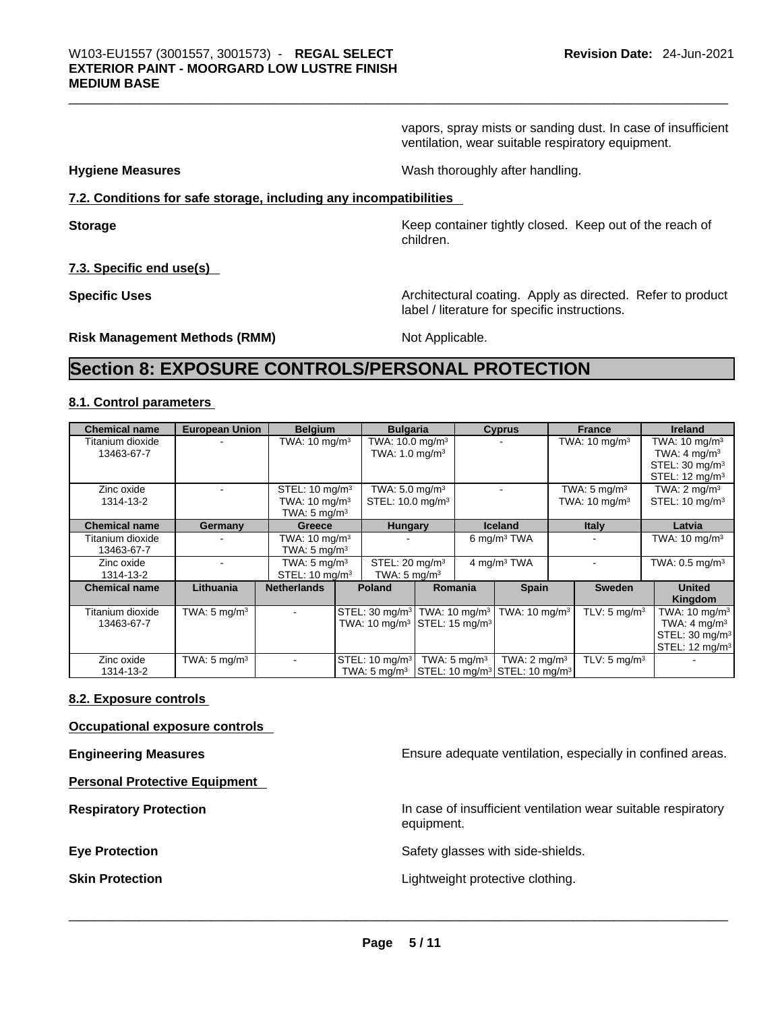vapors, spray mists or sanding dust. In case of insufficient ventilation, wear suitable respiratory equipment.

**Hygiene Measures** Wash thoroughly after handling.

### **7.2. Conditions for safe storage, including any incompatibilities**

**Storage Keep container tightly closed. Keep out of the reach of Keep** container tightly closed. Keep out of the reach of children.

**7.3. Specific end use(s)** 

**Specific Uses Architectural coating. Apply as directed. Refer to product** label / literature for specific instructions.

**Risk Management Methods (RMM)** Not Applicable.

## **Section 8: EXPOSURE CONTROLS/PERSONAL PROTECTION**

### **8.1. Control parameters**

| <b>Chemical name</b>           | <b>European Union</b>   | <b>Belgium</b>                                                                    | <b>Bulgaria</b>                                                                                              |                         | <b>Cyprus</b>             | <b>France</b>                                       | <b>Ireland</b>                                                                                                  |
|--------------------------------|-------------------------|-----------------------------------------------------------------------------------|--------------------------------------------------------------------------------------------------------------|-------------------------|---------------------------|-----------------------------------------------------|-----------------------------------------------------------------------------------------------------------------|
| Titanium dioxide<br>13463-67-7 |                         | TWA: $10 \text{ mg/m}^3$                                                          | TWA: $10.0 \text{ mg/m}^3$<br>TWA: $1.0 \text{ mg/m}^3$                                                      |                         |                           | TWA: $10 \text{ mg/m}^3$                            | TWA: $10 \text{ mg/m}^3$<br>TWA: $4 \text{ mg/m}^3$                                                             |
|                                |                         |                                                                                   |                                                                                                              |                         |                           |                                                     | STEL: 30 mg/m <sup>3</sup><br>STEL: $12 \text{ mq/m}^3$                                                         |
| Zinc oxide<br>1314-13-2        |                         | STEL: 10 mg/m <sup>3</sup><br>TWA: $10 \text{ mg/m}^3$<br>TWA: $5 \text{ mg/m}^3$ | TWA: 5.0 mg/m <sup>3</sup><br>STEL: 10.0 mg/m <sup>3</sup>                                                   |                         |                           | TWA: $5 \text{ mg/m}^3$<br>TWA: $10 \text{ mg/m}^3$ | TWA: $2 \text{ mq/m}^3$<br>STEL: $10 \text{ mg/m}^3$                                                            |
| <b>Chemical name</b>           | Germany                 | Greece                                                                            | <b>Hungary</b>                                                                                               |                         | <b>Iceland</b>            | <b>Italy</b>                                        | Latvia                                                                                                          |
| Titanium dioxide<br>13463-67-7 |                         | TWA: $10 \text{ mg/m}^3$<br>TWA: $5 \text{ mg/m}^3$                               |                                                                                                              |                         | 6 mg/m <sup>3</sup> TWA   |                                                     | TWA: $10 \text{ mg/m}^3$                                                                                        |
| Zinc oxide<br>1314-13-2        |                         | TWA: $5 \text{ mg/m}^3$<br>STEL: $10 \text{ mg/m}^3$                              | STEL: 20 mg/m <sup>3</sup><br>TWA: $5 \text{ mg/m}^3$                                                        |                         | 4 mg/m <sup>3</sup> TWA   |                                                     | TWA: $0.5$ mg/m <sup>3</sup>                                                                                    |
| <b>Chemical name</b>           | Lithuania               | <b>Netherlands</b>                                                                | <b>Poland</b>                                                                                                | Romania                 | <b>Spain</b>              | <b>Sweden</b>                                       | <b>United</b><br>Kingdom                                                                                        |
| Titanium dioxide<br>13463-67-7 | TWA: $5 \text{ mg/m}^3$ |                                                                                   | STEL: 30 mg/m <sup>3</sup> TWA: 10 mg/m <sup>3</sup><br>TWA: 10 mg/m <sup>3</sup> STEL: 15 mg/m <sup>3</sup> |                         | TWA: 10 mg/m <sup>3</sup> | TLV: $5 \text{ mg/m}^3$                             | TWA: $10 \text{ mg/m}^3$<br>TWA: $4 \text{ mg/m}^3$<br>STEL: 30 mg/m <sup>3</sup><br>STEL: 12 mg/m <sup>3</sup> |
| Zinc oxide<br>1314-13-2        | TWA: $5 \text{ mg/m}^3$ |                                                                                   | STEL: 10 mg/m <sup>3</sup><br>TWA: 5 mg/m <sup>3</sup> STEL: 10 mg/m <sup>3</sup> STEL: 10 mg/m <sup>3</sup> | TWA: $5 \text{ ma/m}^3$ | TWA: $2 \text{ mg/m}^3$   | TLV: $5 \text{ mg/m}^3$                             |                                                                                                                 |

### **8.2. Exposure controls**

**Occupational exposure controls** 

**Personal Protective Equipment** 

**Engineering Measures Ensure** Ensure adequate ventilation, especially in confined areas.

**Respiratory Protection In case of insufficient ventilation wear suitable respiratory** equipment.

**Eye Protection Exercise 2 Safety glasses with side-shields.** 

**Skin Protection** Lightweight protective clothing. \_\_\_\_\_\_\_\_\_\_\_\_\_\_\_\_\_\_\_\_\_\_\_\_\_\_\_\_\_\_\_\_\_\_\_\_\_\_\_\_\_\_\_\_\_\_\_\_\_\_\_\_\_\_\_\_\_\_\_\_\_\_\_\_\_\_\_\_\_\_\_\_\_\_\_\_\_\_\_\_\_\_\_\_\_\_\_\_\_\_\_\_\_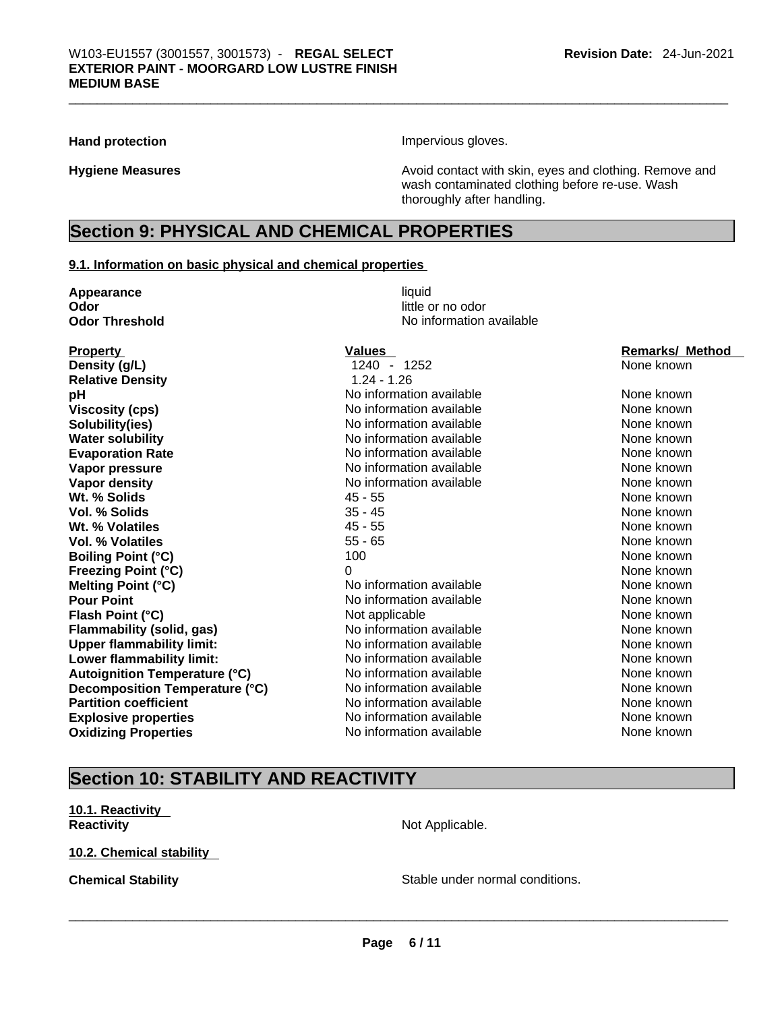Hand protection **Impervious** gloves.

**Hygiene Measures Avoid contact with skin, eyes and clothing. Remove and Hygiene Measures** and clothing. Remove and wash contaminated clothing before re-use. Wash thoroughly after handling.

## **Section 9: PHYSICAL AND CHEMICAL PROPERTIES**

### **9.1. Information on basic physical and chemical properties**

| Appearance                           | liquid                   |                        |  |  |
|--------------------------------------|--------------------------|------------------------|--|--|
| Odor                                 | little or no odor        |                        |  |  |
| <b>Odor Threshold</b>                | No information available |                        |  |  |
| <b>Property</b>                      | <b>Values</b>            | <b>Remarks/ Method</b> |  |  |
| Density (g/L)                        | 1240 - 1252              | None known             |  |  |
| <b>Relative Density</b>              | $1.24 - 1.26$            |                        |  |  |
| pH                                   | No information available | None known             |  |  |
| <b>Viscosity (cps)</b>               | No information available | None known             |  |  |
| Solubility(ies)                      | No information available | None known             |  |  |
| <b>Water solubility</b>              | No information available | None known             |  |  |
| <b>Evaporation Rate</b>              | No information available | None known             |  |  |
| Vapor pressure                       | No information available | None known             |  |  |
| Vapor density                        | No information available | None known             |  |  |
| Wt. % Solids                         | $45 - 55$                | None known             |  |  |
| Vol. % Solids                        | $35 - 45$                | None known             |  |  |
| Wt. % Volatiles                      | $45 - 55$                | None known             |  |  |
| Vol. % Volatiles                     | $55 - 65$                | None known             |  |  |
| <b>Boiling Point (°C)</b>            | 100                      | None known             |  |  |
| <b>Freezing Point (°C)</b>           | 0                        | None known             |  |  |
| Melting Point (°C)                   | No information available | None known             |  |  |
| <b>Pour Point</b>                    | No information available | None known             |  |  |
| Flash Point (°C)                     | Not applicable           | None known             |  |  |
| <b>Flammability (solid, gas)</b>     | No information available | None known             |  |  |
| <b>Upper flammability limit:</b>     | No information available | None known             |  |  |
| Lower flammability limit:            | No information available | None known             |  |  |
| <b>Autoignition Temperature (°C)</b> | No information available | None known             |  |  |
| Decomposition Temperature (°C)       | No information available | None known             |  |  |
| <b>Partition coefficient</b>         | No information available | None known             |  |  |
| <b>Explosive properties</b>          | No information available | None known             |  |  |
| <b>Oxidizing Properties</b>          | No information available | None known             |  |  |
|                                      |                          |                        |  |  |

## **Section 10: STABILITY AND REACTIVITY**

**10.1. Reactivity Reactivity Not Applicable. Not Applicable.** 

**10.2. Chemical stability** 

**Chemical Stability Stable under normal conditions.**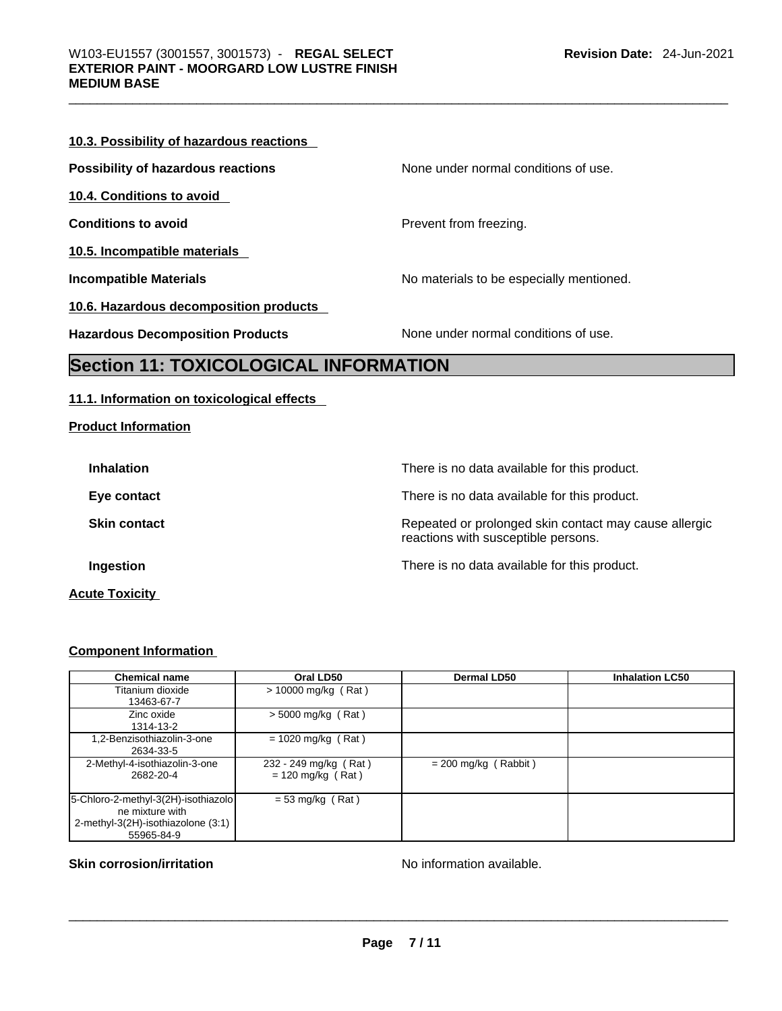### **10.3. Possibility of hazardous reactions**

**Possibility of hazardous reactions** None under normal conditions of use.

**10.4. Conditions to avoid** 

**10.5. Incompatible materials** 

**10.6. Hazardous decomposition products** 

**Conditions to avoid Conditions to avoid Prevent from freezing.** 

**Incompatible Materials No materials** No materials to be especially mentioned.

**Hazardous Decomposition Products** None under normal conditions of use.

## **Section 11: TOXICOLOGICAL INFORMATION**

### **11.1. Information on toxicological effects**

**Product Information**

| <b>Inhalation</b>     | There is no data available for this product.                                                 |
|-----------------------|----------------------------------------------------------------------------------------------|
| Eye contact           | There is no data available for this product.                                                 |
| <b>Skin contact</b>   | Repeated or prolonged skin contact may cause allergic<br>reactions with susceptible persons. |
| Ingestion             | There is no data available for this product.                                                 |
| <b>Acute Toxicity</b> |                                                                                              |

### **Component Information**

| <b>Chemical name</b>                | Oral LD50             | Dermal LD50            | <b>Inhalation LC50</b> |
|-------------------------------------|-----------------------|------------------------|------------------------|
| Titanium dioxide                    | $> 10000$ mg/kg (Rat) |                        |                        |
| 13463-67-7                          |                       |                        |                        |
| Zinc oxide                          | $> 5000$ mg/kg (Rat)  |                        |                        |
| 1314-13-2                           |                       |                        |                        |
| 1,2-Benzisothiazolin-3-one          | $= 1020$ mg/kg (Rat)  |                        |                        |
| 2634-33-5                           |                       |                        |                        |
| 2-Methyl-4-isothiazolin-3-one       | 232 - 249 mg/kg (Rat) | $= 200$ mg/kg (Rabbit) |                        |
| 2682-20-4                           | $= 120$ mg/kg (Rat)   |                        |                        |
|                                     |                       |                        |                        |
| 5-Chloro-2-methyl-3(2H)-isothiazolo | $= 53$ mg/kg (Rat)    |                        |                        |
| ne mixture with                     |                       |                        |                        |
| 2-methyl-3(2H)-isothiazolone (3:1)  |                       |                        |                        |
| 55965-84-9                          |                       |                        |                        |

# **Skin corrosion/irritation** No information available. \_\_\_\_\_\_\_\_\_\_\_\_\_\_\_\_\_\_\_\_\_\_\_\_\_\_\_\_\_\_\_\_\_\_\_\_\_\_\_\_\_\_\_\_\_\_\_\_\_\_\_\_\_\_\_\_\_\_\_\_\_\_\_\_\_\_\_\_\_\_\_\_\_\_\_\_\_\_\_\_\_\_\_\_\_\_\_\_\_\_\_\_\_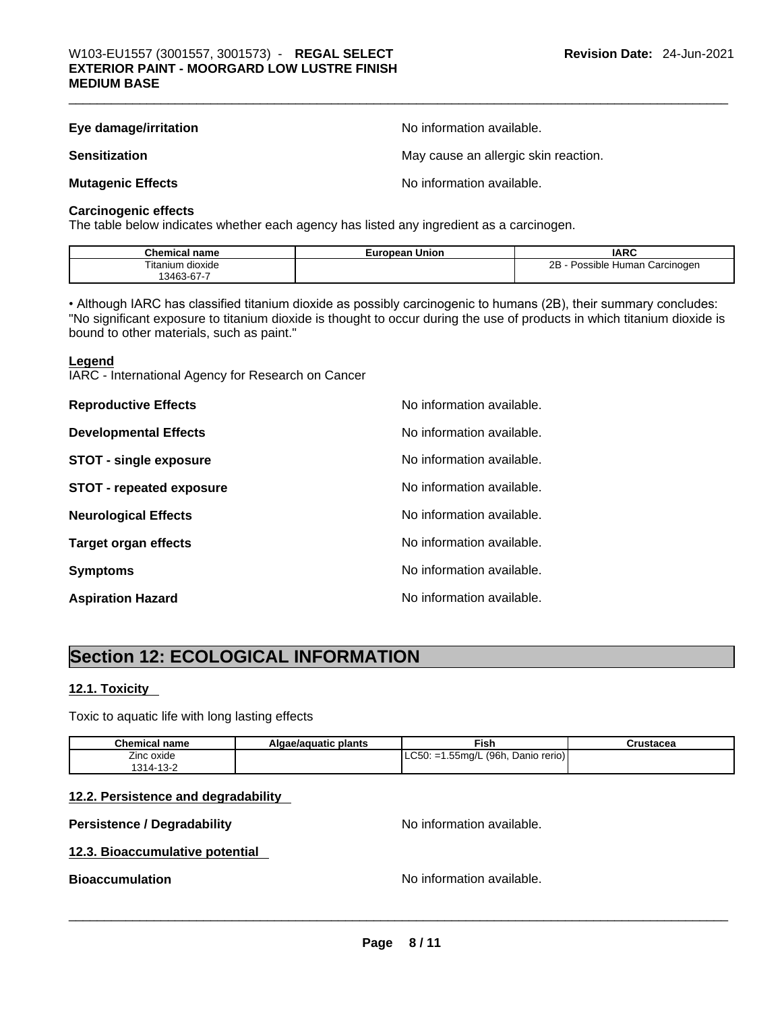| Eye damage/irritation    | No information available.            |
|--------------------------|--------------------------------------|
| <b>Sensitization</b>     | May cause an allergic skin reaction. |
| <b>Mutagenic Effects</b> | No information available.            |

### **Carcinogenic effects**

The table below indicates whether each agency has listed any ingredient as a carcinogen.

| $^{\circ}$ hom.<br>name<br>emic.      | Union<br>uronean<br>–ur | <b>IARC</b>                                    |
|---------------------------------------|-------------------------|------------------------------------------------|
| $- \cdot \cdot$<br>dioxide<br>itanium |                         | 2B<br>Carcinogen<br>: Human<br>Possible<br>. . |
| . 346≘<br>∵ 01 - ئ∪.                  |                         |                                                |

• Although IARC has classified titanium dioxide as possibly carcinogenic to humans (2B), their summary concludes: "No significant exposure to titanium dioxide is thought to occur during the use of products in which titanium dioxide is bound to other materials, such as paint."

### **Legend**

IARC - International Agency for Research on Cancer

| <b>Reproductive Effects</b>     | No information available. |
|---------------------------------|---------------------------|
| <b>Developmental Effects</b>    | No information available. |
| <b>STOT - single exposure</b>   | No information available. |
| <b>STOT - repeated exposure</b> | No information available. |
| <b>Neurological Effects</b>     | No information available. |
| <b>Target organ effects</b>     | No information available. |
| <b>Symptoms</b>                 | No information available. |
| <b>Aspiration Hazard</b>        | No information available. |

## **Section 12: ECOLOGICAL INFORMATION**

### **12.1. Toxicity**

Toxic to aquatic life with long lasting effects

| Chemical name           | Algae/aguatic plants | <b>Fish</b>                            | Crustacea |
|-------------------------|----------------------|----------------------------------------|-----------|
| --<br>Zinc oxide        |                      | $ $ LC50: =1.55mg/L (96h, Danio rerio) |           |
| 1314-13-2<br>' - 13 - ∠ |                      |                                        |           |

### **12.2. Persistence and degradability**

### **Persistence / Degradability No information available.**

### **12.3. Bioaccumulative potential**

**Bioaccumulation** No information available. \_\_\_\_\_\_\_\_\_\_\_\_\_\_\_\_\_\_\_\_\_\_\_\_\_\_\_\_\_\_\_\_\_\_\_\_\_\_\_\_\_\_\_\_\_\_\_\_\_\_\_\_\_\_\_\_\_\_\_\_\_\_\_\_\_\_\_\_\_\_\_\_\_\_\_\_\_\_\_\_\_\_\_\_\_\_\_\_\_\_\_\_\_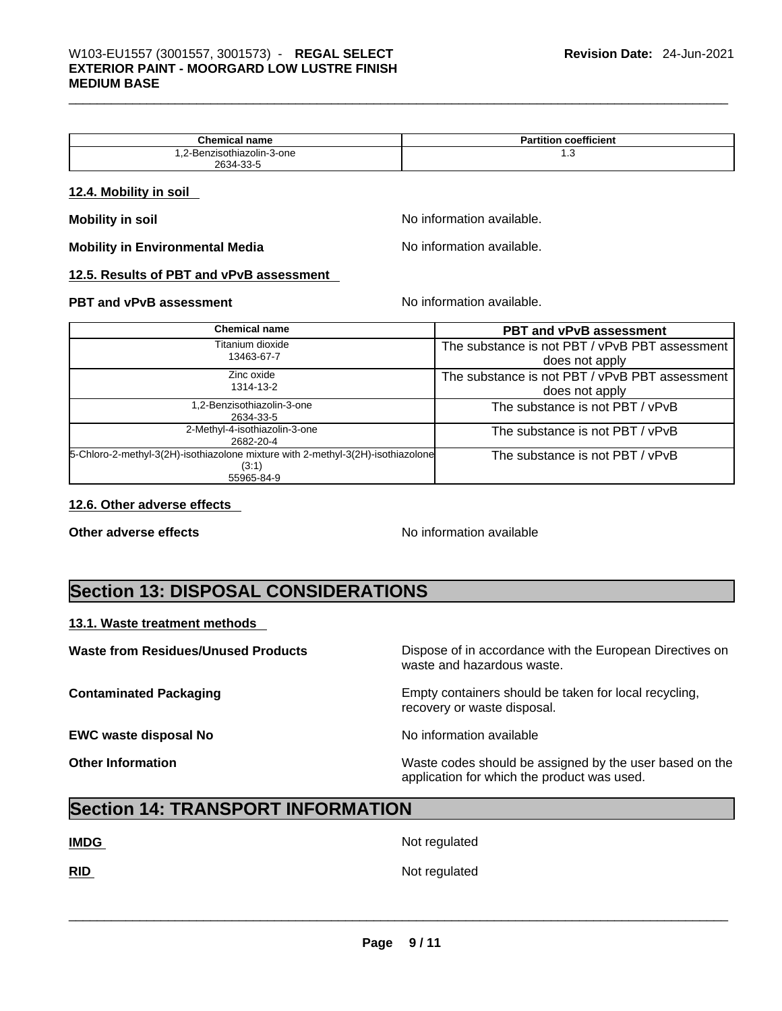| Chemical<br>' name         | coefficient<br>Partition |
|----------------------------|--------------------------|
| 1.2-Benzisothiazolin-3-one | ن. ا                     |
| 2634-33-5                  |                          |

### **12.4. Mobility in soil**

**Mobility in Environmental Media** Noinformation available.

**Mobility in soil intervalse Mobility in solution Mobility intervalse No** information available.

### **12.5. Results of PBT and vPvB assessment**

### **PBT** and **vPvB** assessment **Notify**  $\blacksquare$  No information available.

| <b>Chemical name</b>                                                            | <b>PBT and vPvB assessment</b>                 |
|---------------------------------------------------------------------------------|------------------------------------------------|
| Titanium dioxide<br>13463-67-7                                                  | The substance is not PBT / vPvB PBT assessment |
|                                                                                 | does not apply                                 |
| Zinc oxide<br>1314-13-2                                                         | The substance is not PBT / vPvB PBT assessment |
|                                                                                 | does not apply                                 |
| 1,2-Benzisothiazolin-3-one                                                      | The substance is not PBT / vPvB                |
| 2634-33-5                                                                       |                                                |
| 2-Methyl-4-isothiazolin-3-one<br>2682-20-4                                      | The substance is not PBT / vPvB                |
| 5-Chloro-2-methyl-3(2H)-isothiazolone mixture with 2-methyl-3(2H)-isothiazolone | The substance is not PBT / vPvB                |
| (3:1)<br>55965-84-9                                                             |                                                |
|                                                                                 |                                                |

### **12.6. Other adverse effects**

**Other adverse effects No information available Other adverse effects** 

## **Section 13: DISPOSAL CONSIDERATIONS**

### **13.1. Waste treatment methods**

**EWC waste disposal No No information available** 

**Waste from Residues/Unused Products** Dispose of in accordance with the European Directives on waste and hazardous waste.

**Contaminated Packaging Empty containers should be taken for local recycling,** recovery or waste disposal.

**Other Information** Waste codes should be assigned by the user based on the application for which the product was used.

## **Section 14: TRANSPORT INFORMATION**

**IMDG** Not regulated

**RID** Not regulated \_\_\_\_\_\_\_\_\_\_\_\_\_\_\_\_\_\_\_\_\_\_\_\_\_\_\_\_\_\_\_\_\_\_\_\_\_\_\_\_\_\_\_\_\_\_\_\_\_\_\_\_\_\_\_\_\_\_\_\_\_\_\_\_\_\_\_\_\_\_\_\_\_\_\_\_\_\_\_\_\_\_\_\_\_\_\_\_\_\_\_\_\_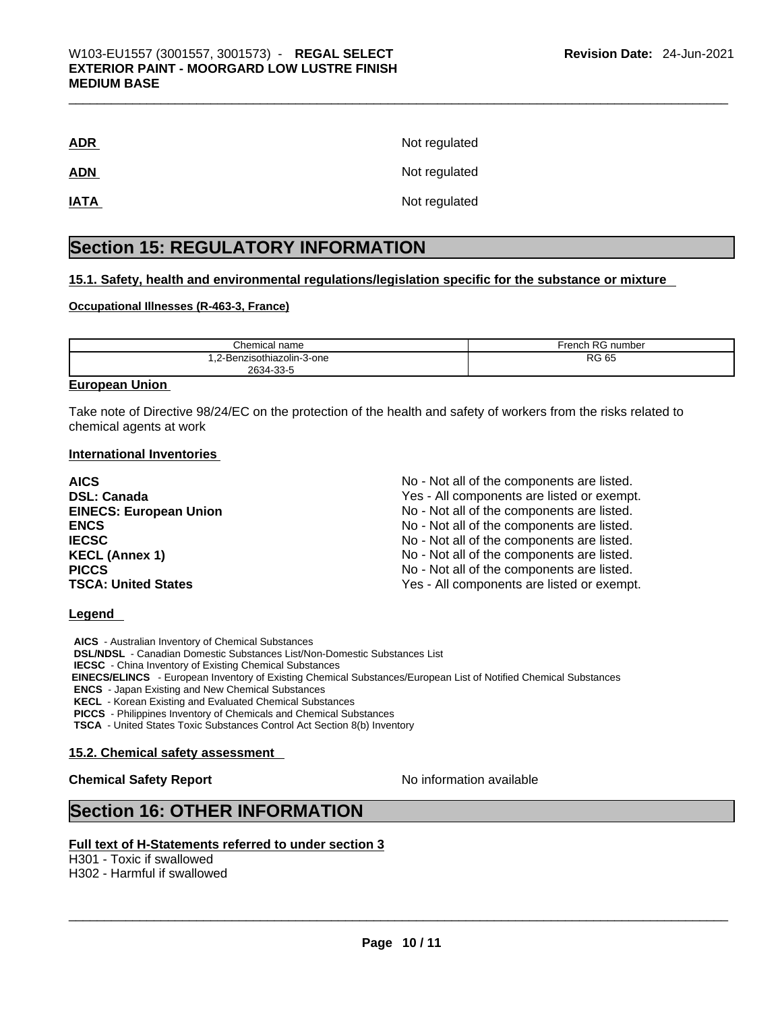| <b>ADR</b>  | Not regulated |
|-------------|---------------|
| <b>ADN</b>  | Not regulated |
| <b>IATA</b> | Not regulated |

## **Section 15: REGULATORY INFORMATION**

### **15.1. Safety, health and environmental regulations/legislation specific for the substance or mixture**

### **Occupational Illnesses (R-463-3, France)**

| Chemical name                                          | ا RG number<br><i>r</i> rench |
|--------------------------------------------------------|-------------------------------|
| enzisothiazolin-3-one<br><br>$\sim$ $\sim$<br>$2634 -$ | <b>RG 65</b><br>___           |
| ົວວະ                                                   |                               |

### **European Union**

Take note of Directive 98/24/EC on the protection of the health and safety of workers from the risks related to chemical agents at work

### **International Inventories**

| <b>AICS</b>                   | No - Not all of the components are listed. |
|-------------------------------|--------------------------------------------|
| <b>DSL: Canada</b>            | Yes - All components are listed or exempt. |
| <b>EINECS: European Union</b> | No - Not all of the components are listed. |
| <b>ENCS</b>                   | No - Not all of the components are listed. |
| <b>IECSC</b>                  | No - Not all of the components are listed. |
| <b>KECL (Annex 1)</b>         | No - Not all of the components are listed. |
| <b>PICCS</b>                  | No - Not all of the components are listed. |
| <b>TSCA: United States</b>    | Yes - All components are listed or exempt. |

### **Legend**

**AICS** - Australian Inventory of Chemical Substances **DSL/NDSL** - Canadian Domestic Substances List/Non-Domestic Substances List **IECSC** - China Inventory of Existing Chemical Substances  **EINECS/ELINCS** - European Inventory of Existing Chemical Substances/European List of Notified Chemical Substances **ENCS** - Japan Existing and New Chemical Substances **KECL** - Korean Existing and Evaluated Chemical Substances **PICCS** - Philippines Inventory of Chemicals and Chemical Substances **TSCA** - United States Toxic Substances Control Act Section 8(b) Inventory

### **15.2. Chemical safety assessment**

### **Chemical Safety Report Chemical Safety Report No information available**

## **Section 16: OTHER INFORMATION**

### **Full text of H-Statements referred to under section 3**

H301 - Toxic if swallowed H302 - Harmful if swallowed